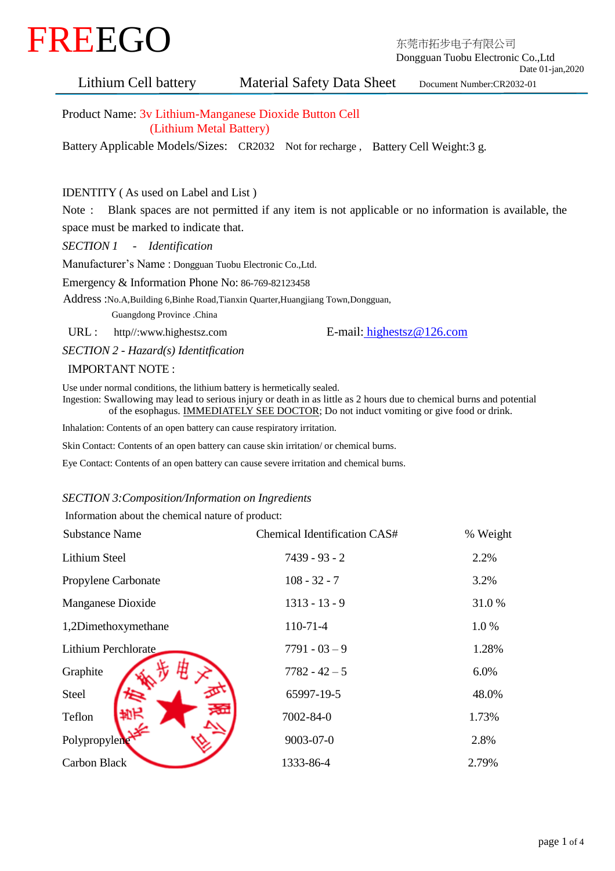

 Dongguan Tuobu Electronic Co.,Ltd Date 01-jan,2020

Lithium Cell battery Material Safety Data Sheet Document Number:CR2032-01

Product Name: 3v Lithium-Manganese Dioxide Button Cell (Lithium Metal Battery)

Battery Applicable Models/Sizes: CR2032 Not for recharge , Battery Cell Weight:3 g.

# IDENTITY ( As used on Label and List )

Note : Blank spaces are not permitted if any item is not applicable or no information is available, the space must be marked to indicate that.

*SECTION 1 - Identification*

Manufacturer's Name : Dongguan Tuobu Electronic Co.,Ltd.

Emergency & Information Phone No: 86-769-82123458

Address :No.A,Building 6,Binhe Road,Tianxin Quarter,Huangjiang Town,Dongguan,

Guangdong Province .China

URL [:](http://www.chaochuang.com/) http//:www.highestsz.com E-mail: highestsz@126.com

*SECTION 2 - Hazard(s) Identitfication*

### IMPORTANT NOTE :

Use under normal conditions, the lithium battery is hermetically sealed.

 Ingestion: Swallowing may lead to serious injury or death in as little as 2 hours due to chemical burns and potential of the esophagus. IMMEDIATELY SEE DOCTOR; Do not induct vomiting or give food or drink.

Inhalation: Contents of an open battery can cause respiratory irritation.

Skin Contact: Contents of an open battery can cause skin irritation/ or chemical burns.

Eye Contact: Contents of an open battery can cause severe irritation and chemical burns.

## *SECTION 3:Composition/Information on Ingredients*

Information about the chemical nature of product:

| <b>Substance Name</b> | Chemical Identification CAS# | % Weight |
|-----------------------|------------------------------|----------|
| <b>Lithium Steel</b>  | $7439 - 93 - 2$              | 2.2%     |
| Propylene Carbonate   | $108 - 32 - 7$               | 3.2%     |
| Manganese Dioxide     | $1313 - 13 - 9$              | 31.0%    |
| 1,2Dimethoxymethane   | $110-71-4$                   | 1.0%     |
| Lithium Perchlorate   | $7791 - 03 - 9$              | 1.28%    |
| Graphite              | $7782 - 42 - 5$              | 6.0%     |
| Steel                 | 65997-19-5                   | 48.0%    |
| Teflon                | 7002-84-0                    | 1.73%    |
| Polypropylene         | $9003 - 07 - 0$              | 2.8%     |
| Carbon Black          | 1333-86-4                    | 2.79%    |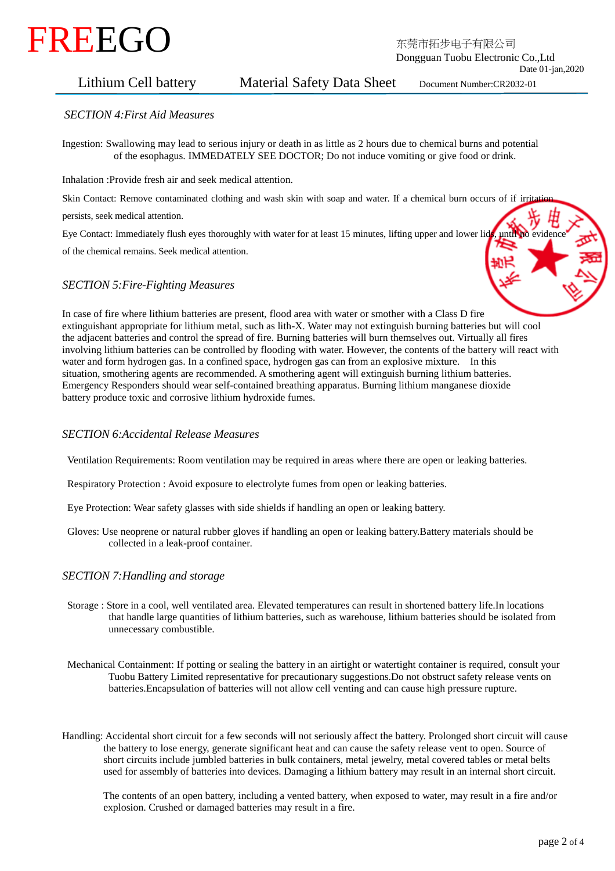# 东莞市拓步电子有限公司 FREEGO

 Dongguan Tuobu Electronic Co.,Ltd Date 01-jan,2020

# Lithium Cell battery Material Safety Data Sheet Document Number:CR2032-01

### *SECTION 4:First Aid Measures*

 Ingestion: Swallowing may lead to serious injury or death in as little as 2 hours due to chemical burns and potential of the esophagus. IMMEDATELY SEE DOCTOR; Do not induce vomiting or give food or drink.

Inhalation :Provide fresh air and seek medical attention.

Skin Contact: Remove contaminated clothing and wash skin with soap and water. If a chemical burn occurs of if irritation

persists, seek medical attention.

Eye Contact: Immediately flush eyes thoroughly with water for at least 15 minutes, lifting upper and lower lids, until no evidence of the chemical remains. Seek medical attention.

### *SECTION 5:Fire-Fighting Measures*



 In case of fire where lithium batteries are present, flood area with water or smother with a Class D fire extinguishant appropriate for lithium metal, such as lith-X. Water may not extinguish burning batteries but will cool the adjacent batteries and control the spread of fire. Burning batteries will burn themselves out. Virtually all fires involving lithium batteries can be controlled by flooding with water. However, the contents of the battery will react with water and form hydrogen gas. In a confined space, hydrogen gas can from an explosive mixture. In this situation, smothering agents are recommended. A smothering agent will extinguish burning lithium batteries. Emergency Responders should wear self-contained breathing apparatus. Burning lithium manganese dioxide battery produce toxic and corrosive lithium hydroxide fumes.

### *SECTION 6:Accidental Release Measures*

Ventilation Requirements: Room ventilation may be required in areas where there are open or leaking batteries.

Respiratory Protection : Avoid exposure to electrolyte fumes from open or leaking batteries.

Eye Protection: Wear safety glasses with side shields if handling an open or leaking battery.

 Gloves: Use neoprene or natural rubber gloves if handling an open or leaking battery.Battery materials should be collected in a leak-proof container.

### *SECTION 7:Handling and storage*

- Storage : Store in a cool, well ventilated area. Elevated temperatures can result in shortened battery life.In locations that handle large quantities of lithium batteries, such as warehouse, lithium batteries should be isolated from unnecessary combustible.
- Mechanical Containment: If potting or sealing the battery in an airtight or watertight container is required, consult your Tuobu Battery Limited representative for precautionary suggestions.Do not obstruct safety release vents on batteries.Encapsulation of batteries will not allow cell venting and can cause high pressure rupture.
- Handling: Accidental short circuit for a few seconds will not seriously affect the battery. Prolonged short circuit will cause the battery to lose energy, generate significant heat and can cause the safety release vent to open. Source of short circuits include jumbled batteries in bulk containers, metal jewelry, metal covered tables or metal belts used for assembly of batteries into devices. Damaging a lithium battery may result in an internal short circuit.

 The contents of an open battery, including a vented battery, when exposed to water, may result in a fire and/or explosion. Crushed or damaged batteries may result in a fire.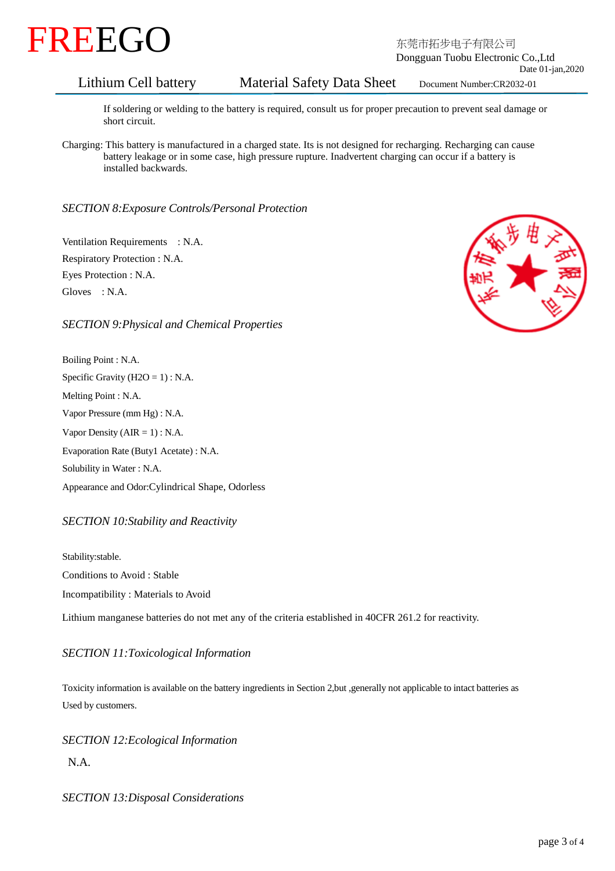

 Dongguan Tuobu Electronic Co.,Ltd Date 01-jan,2020

# Lithium Cell battery Material Safety Data Sheet Document Number:CR2032-01

 If soldering or welding to the battery is required, consult us for proper precaution to prevent seal damage or short circuit.

 Charging: This battery is manufactured in a charged state. Its is not designed for recharging. Recharging can cause battery leakage or in some case, high pressure rupture. Inadvertent charging can occur if a battery is installed backwards.

### *SECTION 8:Exposure Controls/Personal Protection*

 Ventilation Requirements : N.A. Respiratory Protection : N.A. Eyes Protection : N.A. Gloves : N.A.

### *SECTION 9:Physical and Chemical Properties*

Boiling Point : N.A. Specific Gravity ( $H2O = 1$ ) : N.A. Melting Point : N.A. Vapor Pressure (mm Hg) : N.A. Vapor Density  $(AIR = 1)$ : N.A. Evaporation Rate (Buty1 Acetate) : N.A. Solubility in Water : N.A. Appearance and Odor:Cylindrical Shape, Odorless

### *SECTION 10:Stability and Reactivity*

Stability:stable. Conditions to Avoid : Stable Incompatibility : Materials to Avoid

Lithium manganese batteries do not met any of the criteria established in 40CFR 261.2 for reactivity.

### *SECTION 11:Toxicological Information*

Toxicity information is available on the battery ingredients in Section 2,but ,generally not applicable to intact batteries as Used by customers.

*SECTION 12:Ecological Information*

N.A.

*SECTION 13:Disposal Considerations*